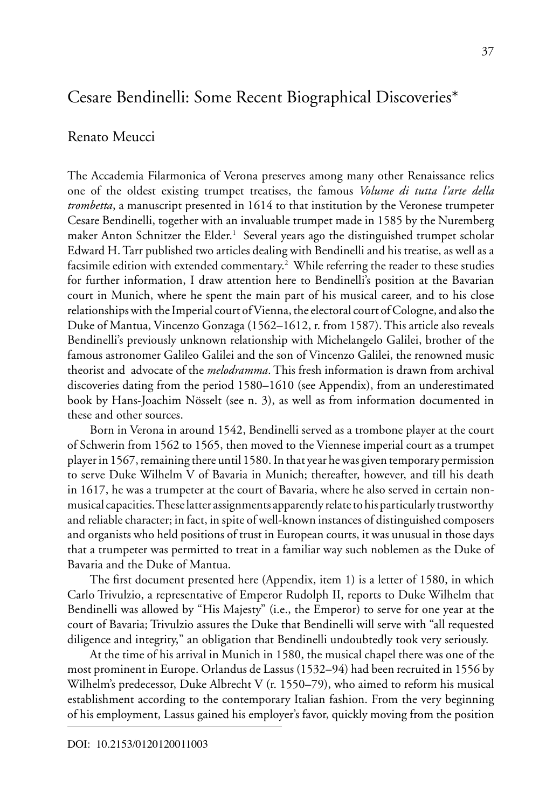# Cesare Bendinelli: Some Recent Biographical Discoveries\*

# Renato Meucci

The Accademia Filarmonica of Verona preserves among many other Renaissance relics one of the oldest existing trumpet treatises, the famous *Volume di tutta l'arte della trombetta*, a manuscript presented in 1614 to that institution by the Veronese trumpeter Cesare Bendinelli, together with an invaluable trumpet made in 1585 by the Nuremberg maker Anton Schnitzer the Elder.<sup>1</sup> Several years ago the distinguished trumpet scholar Edward H. Tarr published two articles dealing with Bendinelli and his treatise, as well as a facsimile edition with extended commentary.<sup>2</sup> While referring the reader to these studies for further information, I draw attention here to Bendinelli's position at the Bavarian court in Munich, where he spent the main part of his musical career, and to his close relationships with the Imperial court of Vienna, the electoral court of Cologne, and also the Duke of Mantua, Vincenzo Gonzaga (1562–1612, r. from 1587). This article also reveals Bendinelli's previously unknown relationship with Michelangelo Galilei, brother of the famous astronomer Galileo Galilei and the son of Vincenzo Galilei, the renowned music theorist and advocate of the *melodramma*. This fresh information is drawn from archival discoveries dating from the period 1580–1610 (see Appendix), from an underestimated book by Hans-Joachim Nösselt (see n. 3), as well as from information documented in these and other sources.

Born in Verona in around 1542, Bendinelli served as a trombone player at the court of Schwerin from 1562 to 1565, then moved to the Viennese imperial court as a trumpet player in 1567, remaining there until 1580. In that year he was given temporary permission to serve Duke Wilhelm V of Bavaria in Munich; thereafter, however, and till his death in 1617, he was a trumpeter at the court of Bavaria, where he also served in certain nonmusical capacities. These latter assignments apparently relate to his particularly trustworthy and reliable character; in fact, in spite of well-known instances of distinguished composers and organists who held positions of trust in European courts, it was unusual in those days that a trumpeter was permitted to treat in a familiar way such noblemen as the Duke of Bavaria and the Duke of Mantua.

The first document presented here (Appendix, item 1) is a letter of 1580, in which Carlo Trivulzio, a representative of Emperor Rudolph II, reports to Duke Wilhelm that Bendinelli was allowed by "His Majesty" (i.e., the Emperor) to serve for one year at the court of Bavaria; Trivulzio assures the Duke that Bendinelli will serve with "all requested diligence and integrity," an obligation that Bendinelli undoubtedly took very seriously.

At the time of his arrival in Munich in 1580, the musical chapel there was one of the most prominent in Europe. Orlandus de Lassus (1532–94) had been recruited in 1556 by Wilhelm's predecessor, Duke Albrecht V (r. 1550–79), who aimed to reform his musical establishment according to the contemporary Italian fashion. From the very beginning of his employment, Lassus gained his employer's favor, quickly moving from the position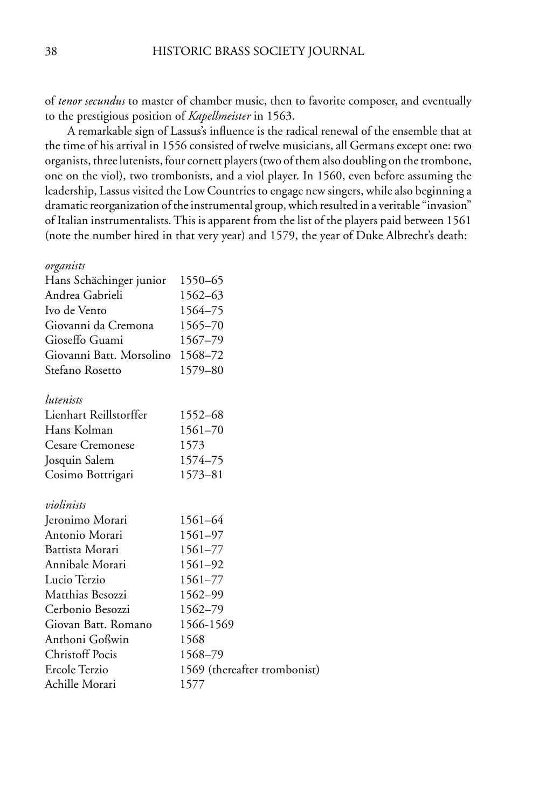of *tenor secundus* to master of chamber music, then to favorite composer, and eventually to the prestigious position of *Kapellmeister* in 1563.

A remarkable sign of Lassus's influence is the radical renewal of the ensemble that at the time of his arrival in 1556 consisted of twelve musicians, all Germans except one: two organists, three lutenists, four cornett players (two of them also doubling on the trombone, one on the viol), two trombonists, and a viol player. In 1560, even before assuming the leadership, Lassus visited the Low Countries to engage new singers, while also beginning a dramatic reorganization of the instrumental group, which resulted in a veritable "invasion" of Italian instrumentalists. This is apparent from the list of the players paid between 1561 (note the number hired in that very year) and 1579, the year of Duke Albrecht's death:

#### *organists*

| Hans Schächinger junior  | 1550–65                      |
|--------------------------|------------------------------|
| Andrea Gabrieli          | 1562-63                      |
| Ivo de Vento             | 1564-75                      |
| Giovanni da Cremona      | 1565–70                      |
| Gioseffo Guami           | 1567–79                      |
| Giovanni Batt. Morsolino | 1568–72                      |
| Stefano Rosetto          | 1579-80                      |
| lutenists                |                              |
| Lienhart Reillstorffer   | 1552–68                      |
| Hans Kolman              | 1561–70                      |
| Cesare Cremonese         | 1573                         |
| Josquin Salem            | 1574–75                      |
| Cosimo Bottrigari        | 1573-81                      |
| violinists               |                              |
| Jeronimo Morari          | 1561-64                      |
| Antonio Morari           | 1561-97                      |
| Battista Morari          | 1561-77                      |
| Annibale Morari          | 1561-92                      |
| Lucio Terzio             | 1561-77                      |
| Matthias Besozzi         | 1562-99                      |
| Cerbonio Besozzi         | 1562-79                      |
| Giovan Batt. Romano      | 1566-1569                    |
| Anthoni Goßwin           | 1568                         |
| <b>Christoff Pocis</b>   | 1568–79                      |
| Ercole Terzio            | 1569 (thereafter trombonist) |
| Achille Morari           | 1577                         |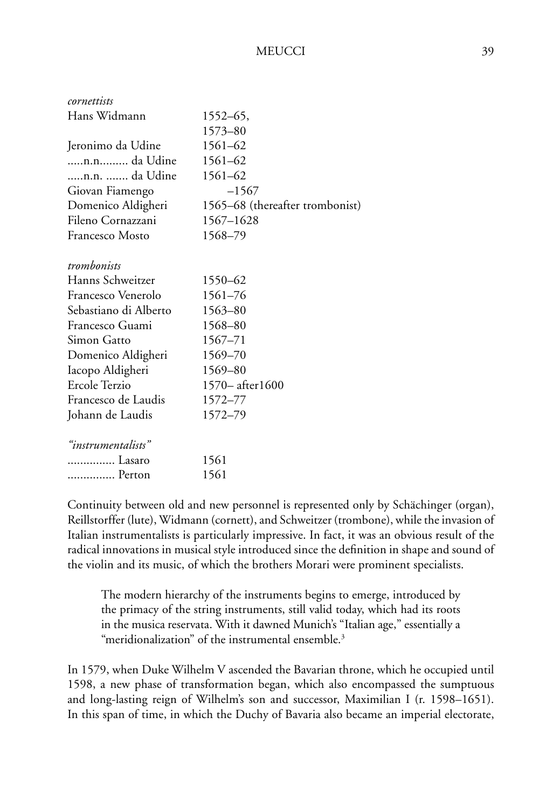| cornettists           |                                 |
|-----------------------|---------------------------------|
| Hans Widmann          | 1552–65,                        |
|                       | 1573-80                         |
| Jeronimo da Udine     | 1561-62                         |
| n.n da Udine          | 1561-62                         |
| n.n.  da Udine        | 1561-62                         |
| Giovan Fiamengo       | $-1567$                         |
| Domenico Aldigheri    | 1565-68 (thereafter trombonist) |
| Fileno Cornazzani     | 1567-1628                       |
| Francesco Mosto       | 1568-79                         |
|                       |                                 |
| trombonists           |                                 |
| Hanns Schweitzer      | 1550-62                         |
| Francesco Venerolo    | 1561-76                         |
| Sebastiano di Alberto | 1563-80                         |
| Francesco Guami       | 1568-80                         |
| Simon Gatto           | 1567-71                         |
| Domenico Aldigheri    | 1569-70                         |
| Iacopo Aldigheri      | 1569-80                         |
| Ercole Terzio         | 1570-after1600                  |
| Francesco de Laudis   | 1572–77                         |
| Johann de Laudis      | 1572–79                         |
|                       |                                 |
| "instrumentalists"    |                                 |
| Lasaro                | 1561                            |
| Perton                | 1561                            |

Continuity between old and new personnel is represented only by Schächinger (organ), Reillstorffer (lute), Widmann (cornett), and Schweitzer (trombone), while the invasion of Italian instrumentalists is particularly impressive. In fact, it was an obvious result of the radical innovations in musical style introduced since the definition in shape and sound of the violin and its music, of which the brothers Morari were prominent specialists.

The modern hierarchy of the instruments begins to emerge, introduced by the primacy of the string instruments, still valid today, which had its roots in the musica reservata. With it dawned Munich's "Italian age," essentially a "meridionalization" of the instrumental ensemble.3

In 1579, when Duke Wilhelm V ascended the Bavarian throne, which he occupied until 1598, a new phase of transformation began, which also encompassed the sumptuous and long-lasting reign of Wilhelm's son and successor, Maximilian I (r. 1598–1651). In this span of time, in which the Duchy of Bavaria also became an imperial electorate,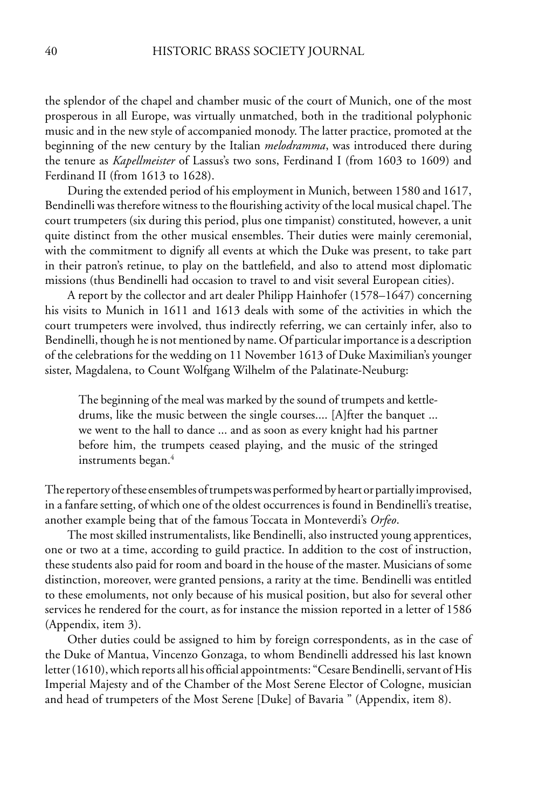the splendor of the chapel and chamber music of the court of Munich, one of the most prosperous in all Europe, was virtually unmatched, both in the traditional polyphonic music and in the new style of accompanied monody. The latter practice, promoted at the beginning of the new century by the Italian *melodramma*, was introduced there during the tenure as *Kapellmeister* of Lassus's two sons, Ferdinand I (from 1603 to 1609) and Ferdinand II (from 1613 to 1628).

During the extended period of his employment in Munich, between 1580 and 1617, Bendinelli was therefore witness to the flourishing activity of the local musical chapel. The court trumpeters (six during this period, plus one timpanist) constituted, however, a unit quite distinct from the other musical ensembles. Their duties were mainly ceremonial, with the commitment to dignify all events at which the Duke was present, to take part in their patron's retinue, to play on the battlefield, and also to attend most diplomatic missions (thus Bendinelli had occasion to travel to and visit several European cities).

A report by the collector and art dealer Philipp Hainhofer (1578–1647) concerning his visits to Munich in 1611 and 1613 deals with some of the activities in which the court trumpeters were involved, thus indirectly referring, we can certainly infer, also to Bendinelli, though he is not mentioned by name. Of particular importance is a description of the celebrations for the wedding on 11 November 1613 of Duke Maximilian's younger sister, Magdalena, to Count Wolfgang Wilhelm of the Palatinate-Neuburg:

The beginning of the meal was marked by the sound of trumpets and kettledrums, like the music between the single courses.... [A]fter the banquet ... we went to the hall to dance ... and as soon as every knight had his partner before him, the trumpets ceased playing, and the music of the stringed instruments began.<sup>4</sup>

The repertory of these ensembles of trumpets was performed by heart or partially improvised, in a fanfare setting, of which one of the oldest occurrences is found in Bendinelli's treatise, another example being that of the famous Toccata in Monteverdi's *Orfeo*.

The most skilled instrumentalists, like Bendinelli, also instructed young apprentices, one or two at a time, according to guild practice. In addition to the cost of instruction, these students also paid for room and board in the house of the master. Musicians of some distinction, moreover, were granted pensions, a rarity at the time. Bendinelli was entitled to these emoluments, not only because of his musical position, but also for several other services he rendered for the court, as for instance the mission reported in a letter of 1586 (Appendix, item 3).

Other duties could be assigned to him by foreign correspondents, as in the case of the Duke of Mantua, Vincenzo Gonzaga, to whom Bendinelli addressed his last known letter (1610), which reports all his official appointments: "Cesare Bendinelli, servant of His Imperial Majesty and of the Chamber of the Most Serene Elector of Cologne, musician and head of trumpeters of the Most Serene [Duke] of Bavaria " (Appendix, item 8).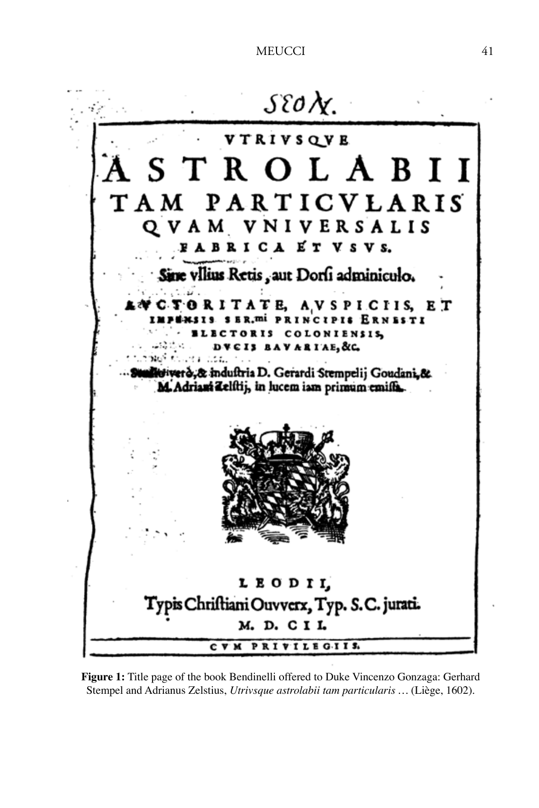

**Figure 1:** Title page of the book Bendinelli offered to Duke Vincenzo Gonzaga: Gerhard Stempel and Adrianus Zelstius, *Utrivsque astrolabii tam particularis …* (Liège, 1602).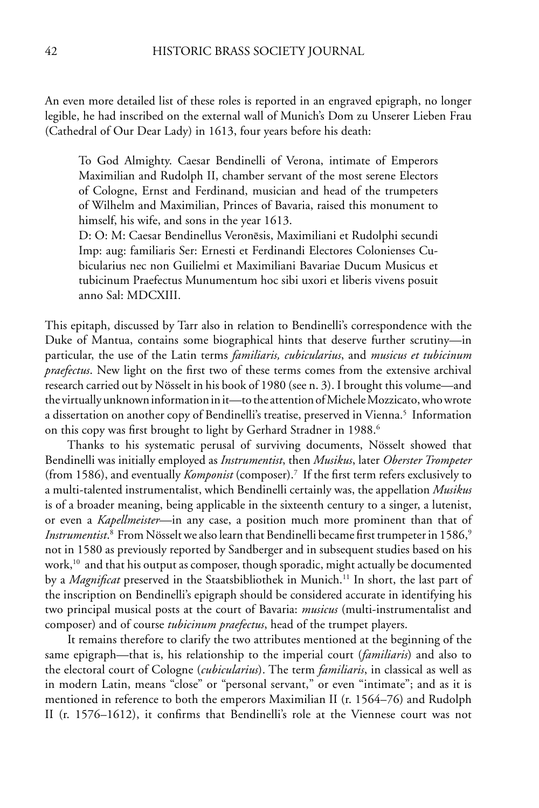An even more detailed list of these roles is reported in an engraved epigraph, no longer legible, he had inscribed on the external wall of Munich's Dom zu Unserer Lieben Frau (Cathedral of Our Dear Lady) in 1613, four years before his death:

To God Almighty. Caesar Bendinelli of Verona, intimate of Emperors Maximilian and Rudolph II, chamber servant of the most serene Electors of Cologne, Ernst and Ferdinand, musician and head of the trumpeters of Wilhelm and Maximilian, Princes of Bavaria, raised this monument to himself, his wife, and sons in the year 1613.

D: O: M: Caesar Bendinellus Veronēsis, Maximiliani et Rudolphi secundi Imp: aug: familiaris Ser: Ernesti et Ferdinandi Electores Colonienses Cubicularius nec non Guilielmi et Maximiliani Bavariae Ducum Musicus et tubicinum Praefectus Munumentum hoc sibi uxori et liberis vivens posuit anno Sal: MDCXIII.

This epitaph, discussed by Tarr also in relation to Bendinelli's correspondence with the Duke of Mantua, contains some biographical hints that deserve further scrutiny—in particular, the use of the Latin terms *familiaris, cubicularius*, and *musicus et tubicinum praefectus*. New light on the first two of these terms comes from the extensive archival research carried out by Nösselt in his book of 1980 (see n. 3). I brought this volume—and the virtually unknown information in it—to the attention of Michele Mozzicato, who wrote a dissertation on another copy of Bendinelli's treatise, preserved in Vienna.<sup>5</sup> Information on this copy was first brought to light by Gerhard Stradner in 1988.<sup>6</sup>

Thanks to his systematic perusal of surviving documents, Nösselt showed that Bendinelli was initially employed as *Instrumentist*, then *Musikus*, later *Oberster Trompeter*  (from 1586), and eventually *Komponist* (composer).7 If the first term refers exclusively to a multi-talented instrumentalist, which Bendinelli certainly was, the appellation *Musikus* is of a broader meaning, being applicable in the sixteenth century to a singer, a lutenist, or even a *Kapellmeister*—in any case, a position much more prominent than that of Instrumentist.<sup>8</sup> From Nösselt we also learn that Bendinelli became first trumpeter in 1586,<sup>9</sup> not in 1580 as previously reported by Sandberger and in subsequent studies based on his work, $10$  and that his output as composer, though sporadic, might actually be documented by a *Magnificat* preserved in the Staatsbibliothek in Munich.<sup>11</sup> In short, the last part of the inscription on Bendinelli's epigraph should be considered accurate in identifying his two principal musical posts at the court of Bavaria: *musicus* (multi-instrumentalist and composer) and of course *tubicinum praefectus*, head of the trumpet players.

It remains therefore to clarify the two attributes mentioned at the beginning of the same epigraph—that is, his relationship to the imperial court (*familiaris*) and also to the electoral court of Cologne (*cubicularius*). The term *familiaris*, in classical as well as in modern Latin, means "close" or "personal servant," or even "intimate"; and as it is mentioned in reference to both the emperors Maximilian II (r. 1564–76) and Rudolph II (r. 1576–1612), it confirms that Bendinelli's role at the Viennese court was not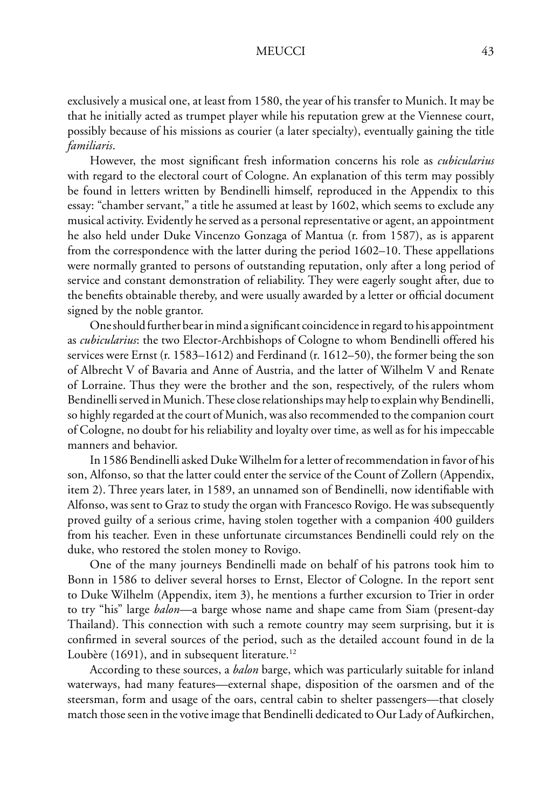exclusively a musical one, at least from 1580, the year of his transfer to Munich. It may be that he initially acted as trumpet player while his reputation grew at the Viennese court, possibly because of his missions as courier (a later specialty), eventually gaining the title *familiaris*.

However, the most significant fresh information concerns his role as *cubicularius* with regard to the electoral court of Cologne. An explanation of this term may possibly be found in letters written by Bendinelli himself, reproduced in the Appendix to this essay: "chamber servant," a title he assumed at least by 1602, which seems to exclude any musical activity. Evidently he served as a personal representative or agent, an appointment he also held under Duke Vincenzo Gonzaga of Mantua (r. from 1587), as is apparent from the correspondence with the latter during the period 1602–10. These appellations were normally granted to persons of outstanding reputation, only after a long period of service and constant demonstration of reliability. They were eagerly sought after, due to the benefits obtainable thereby, and were usually awarded by a letter or official document signed by the noble grantor.

One should further bear in mind a significant coincidence in regard to his appointment as *cubicularius*: the two Elector-Archbishops of Cologne to whom Bendinelli offered his services were Ernst (r. 1583–1612) and Ferdinand (r. 1612–50), the former being the son of Albrecht V of Bavaria and Anne of Austria, and the latter of Wilhelm V and Renate of Lorraine. Thus they were the brother and the son, respectively, of the rulers whom Bendinelli served in Munich. These close relationships may help to explain why Bendinelli, so highly regarded at the court of Munich, was also recommended to the companion court of Cologne, no doubt for his reliability and loyalty over time, as well as for his impeccable manners and behavior.

In 1586 Bendinelli asked Duke Wilhelm for a letter of recommendation in favor of his son, Alfonso, so that the latter could enter the service of the Count of Zollern (Appendix, item 2). Three years later, in 1589, an unnamed son of Bendinelli, now identifiable with Alfonso, was sent to Graz to study the organ with Francesco Rovigo. He was subsequently proved guilty of a serious crime, having stolen together with a companion 400 guilders from his teacher. Even in these unfortunate circumstances Bendinelli could rely on the duke, who restored the stolen money to Rovigo.

One of the many journeys Bendinelli made on behalf of his patrons took him to Bonn in 1586 to deliver several horses to Ernst, Elector of Cologne. In the report sent to Duke Wilhelm (Appendix, item 3), he mentions a further excursion to Trier in order to try "his" large *balon*—a barge whose name and shape came from Siam (present-day Thailand). This connection with such a remote country may seem surprising, but it is confirmed in several sources of the period, such as the detailed account found in de la Loubère (1691), and in subsequent literature.<sup>12</sup>

According to these sources, a *balon* barge, which was particularly suitable for inland waterways, had many features—external shape, disposition of the oarsmen and of the steersman, form and usage of the oars, central cabin to shelter passengers—that closely match those seen in the votive image that Bendinelli dedicated to Our Lady of Aufkirchen,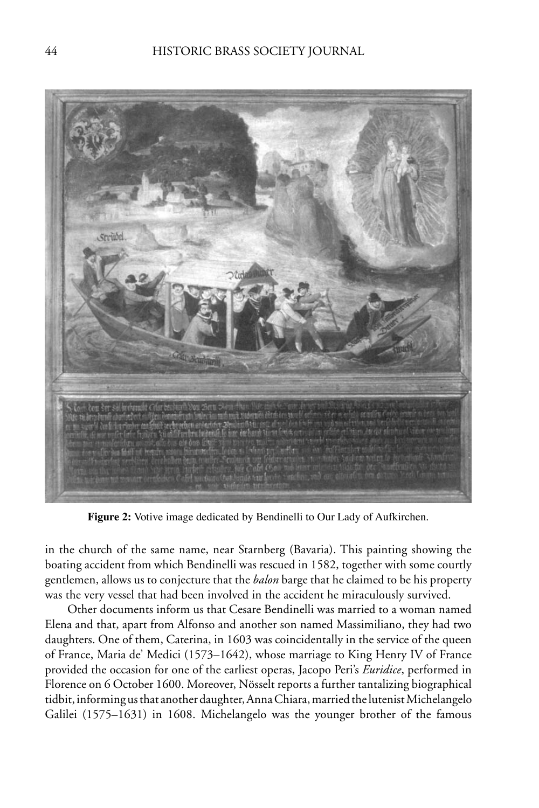

**Figure 2:** Votive image dedicated by Bendinelli to Our Lady of Aufkirchen.

in the church of the same name, near Starnberg (Bavaria). This painting showing the boating accident from which Bendinelli was rescued in 1582, together with some courtly gentlemen, allows us to conjecture that the *balon* barge that he claimed to be his property was the very vessel that had been involved in the accident he miraculously survived.

Other documents inform us that Cesare Bendinelli was married to a woman named Elena and that, apart from Alfonso and another son named Massimiliano, they had two daughters. One of them, Caterina, in 1603 was coincidentally in the service of the queen of France, Maria de' Medici (1573–1642), whose marriage to King Henry IV of France provided the occasion for one of the earliest operas, Jacopo Peri's *Euridice*, performed in Florence on 6 October 1600. Moreover, Nösselt reports a further tantalizing biographical tidbit, informing us that another daughter, Anna Chiara, married the lutenist Michelangelo Galilei (1575–1631) in 1608. Michelangelo was the younger brother of the famous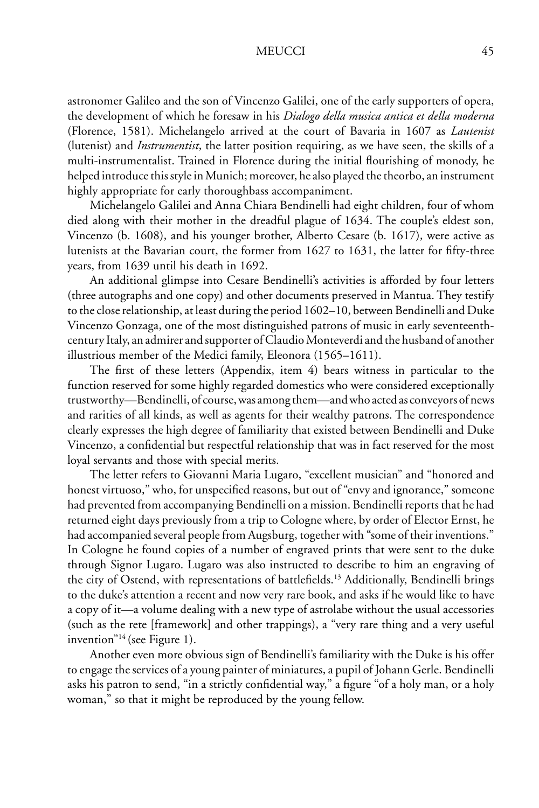astronomer Galileo and the son of Vincenzo Galilei, one of the early supporters of opera, the development of which he foresaw in his *Dialogo della musica antica et della moderna* (Florence, 1581). Michelangelo arrived at the court of Bavaria in 1607 as *Lautenist* (lutenist) and *Instrumentist*, the latter position requiring, as we have seen, the skills of a multi-instrumentalist. Trained in Florence during the initial flourishing of monody, he helped introduce this style in Munich; moreover, he also played the theorbo, an instrument highly appropriate for early thoroughbass accompaniment.

Michelangelo Galilei and Anna Chiara Bendinelli had eight children, four of whom died along with their mother in the dreadful plague of 1634. The couple's eldest son, Vincenzo (b. 1608), and his younger brother, Alberto Cesare (b. 1617), were active as lutenists at the Bavarian court, the former from 1627 to 1631, the latter for fifty-three years, from 1639 until his death in 1692.

An additional glimpse into Cesare Bendinelli's activities is afforded by four letters (three autographs and one copy) and other documents preserved in Mantua. They testify to the close relationship, at least during the period 1602–10, between Bendinelli and Duke Vincenzo Gonzaga, one of the most distinguished patrons of music in early seventeenthcentury Italy, an admirer and supporter of Claudio Monteverdi and the husband of another illustrious member of the Medici family, Eleonora (1565–1611).

The first of these letters (Appendix, item 4) bears witness in particular to the function reserved for some highly regarded domestics who were considered exceptionally trustworthy—Bendinelli, of course, was among them—and who acted as conveyors of news and rarities of all kinds, as well as agents for their wealthy patrons. The correspondence clearly expresses the high degree of familiarity that existed between Bendinelli and Duke Vincenzo, a confidential but respectful relationship that was in fact reserved for the most loyal servants and those with special merits.

The letter refers to Giovanni Maria Lugaro, "excellent musician" and "honored and honest virtuoso," who, for unspecified reasons, but out of "envy and ignorance," someone had prevented from accompanying Bendinelli on a mission. Bendinelli reports that he had returned eight days previously from a trip to Cologne where, by order of Elector Ernst, he had accompanied several people from Augsburg, together with "some of their inventions." In Cologne he found copies of a number of engraved prints that were sent to the duke through Signor Lugaro. Lugaro was also instructed to describe to him an engraving of the city of Ostend, with representations of battlefields.<sup>13</sup> Additionally, Bendinelli brings to the duke's attention a recent and now very rare book, and asks if he would like to have a copy of it—a volume dealing with a new type of astrolabe without the usual accessories (such as the rete [framework] and other trappings), a "very rare thing and a very useful invention"14 (see Figure 1).

Another even more obvious sign of Bendinelli's familiarity with the Duke is his offer to engage the services of a young painter of miniatures, a pupil of Johann Gerle. Bendinelli asks his patron to send, "in a strictly confidential way," a figure "of a holy man, or a holy woman," so that it might be reproduced by the young fellow.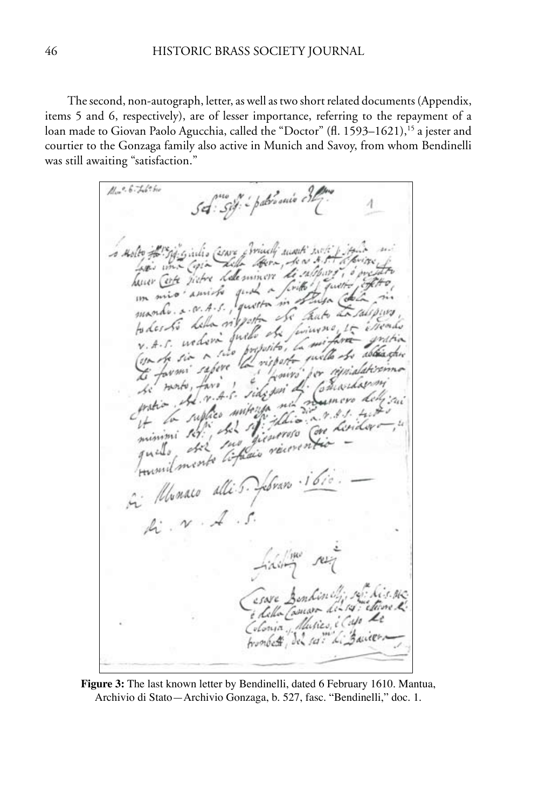The second, non-autograph, letter, as well as two short related documents (Appendix, items 5 and 6, respectively), are of lesser importance, referring to the repayment of a loan made to Giovan Paolo Agucchia, called the "Doctor" (fl. 1593–1621),<sup>15</sup> a jester and courtier to the Gonzaga family also active in Munich and Savoy, from whom Bendinelli was still awaiting "satisfaction."

 $H = 6.5 + 6.5$ Set: Siff: i patrionio est a note the gig girls come friends must with prime have conte fictive della suivere di sulpare i o pre hour cole diebre delement de august de la forme to des la della signeta de finanza il creado proposito, la (on the six in two with he whist (you to six refere the risport Lours' be morte, favo  $\overline{1}$ se modo, favo i sidepoi di  $\cdot$  for ni roumero protion in supplies mitery Lion r. 8. 1. 4 minimi sofi del Mi ficureso Con Lindor. quels del monte interesse Jumilmont de 5. Jebran . 1600  $A: \mathcal{N} \times \mathcal{A} \times \mathcal{S}$ filippe re esare Bendina esare Benkin up reference Edella Comara de Capo de tronbett, del ser "Li Barier

**Figure 3:** The last known letter by Bendinelli, dated 6 February 1610. Mantua, Archivio di Stato—Archivio Gonzaga, b. 527, fasc. "Bendinelli," doc. 1.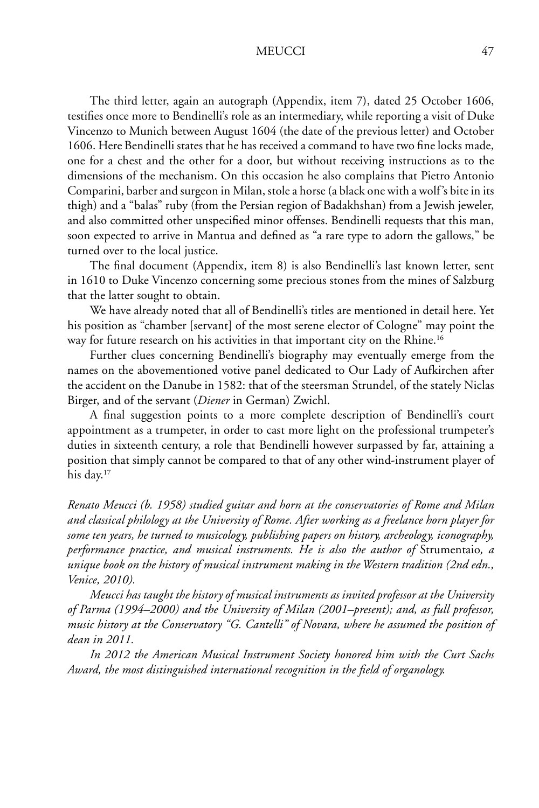The third letter, again an autograph (Appendix, item 7), dated 25 October 1606, testifies once more to Bendinelli's role as an intermediary, while reporting a visit of Duke Vincenzo to Munich between August 1604 (the date of the previous letter) and October 1606. Here Bendinelli states that he has received a command to have two fine locks made, one for a chest and the other for a door, but without receiving instructions as to the dimensions of the mechanism. On this occasion he also complains that Pietro Antonio Comparini, barber and surgeon in Milan, stole a horse (a black one with a wolf's bite in its thigh) and a "balas" ruby (from the Persian region of Badakhshan) from a Jewish jeweler, and also committed other unspecified minor offenses. Bendinelli requests that this man, soon expected to arrive in Mantua and defined as "a rare type to adorn the gallows," be turned over to the local justice.

The final document (Appendix, item 8) is also Bendinelli's last known letter, sent in 1610 to Duke Vincenzo concerning some precious stones from the mines of Salzburg that the latter sought to obtain.

We have already noted that all of Bendinelli's titles are mentioned in detail here. Yet his position as "chamber [servant] of the most serene elector of Cologne" may point the way for future research on his activities in that important city on the Rhine.<sup>16</sup>

Further clues concerning Bendinelli's biography may eventually emerge from the names on the abovementioned votive panel dedicated to Our Lady of Aufkirchen after the accident on the Danube in 1582: that of the steersman Strundel, of the stately Niclas Birger, and of the servant (*Diener* in German) Zwichl.

A final suggestion points to a more complete description of Bendinelli's court appointment as a trumpeter, in order to cast more light on the professional trumpeter's duties in sixteenth century, a role that Bendinelli however surpassed by far, attaining a position that simply cannot be compared to that of any other wind-instrument player of his day.<sup>17</sup>

*Renato Meucci (b. 1958) studied guitar and horn at the conservatories of Rome and Milan and classical philology at the University of Rome. After working as a freelance horn player for some ten years, he turned to musicology, publishing papers on history, archeology, iconography, performance practice, and musical instruments. He is also the author of* Strumentaio*, a unique book on the history of musical instrument making in the Western tradition (2nd edn., Venice, 2010).*

*Meucci has taught the history of musical instruments as invited professor at the University of Parma (1994–2000) and the University of Milan (2001–present); and, as full professor, music history at the Conservatory "G. Cantelli" of Novara, where he assumed the position of dean in 2011.* 

*In 2012 the American Musical Instrument Society honored him with the Curt Sachs Award, the most distinguished international recognition in the field of organology.*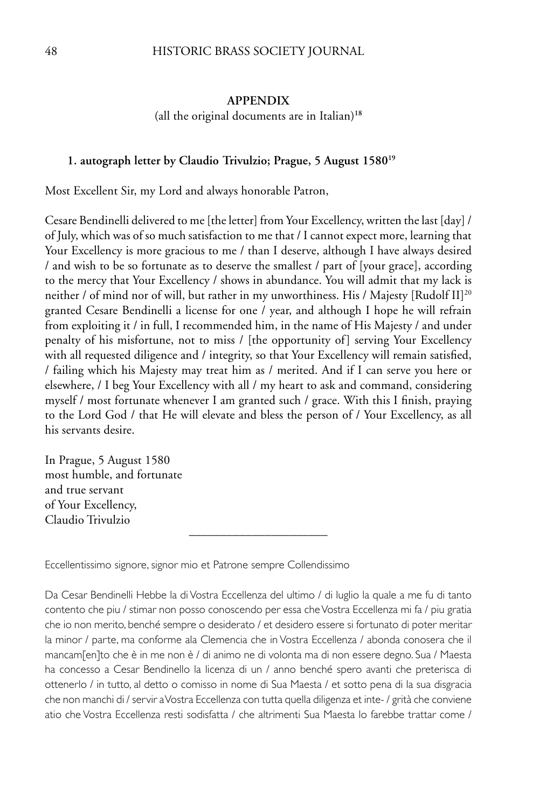### 48 HISTORIC BRASS SOCIETY JOURNAL

### **APPENDIX**

(all the original documents are in Italian)**<sup>18</sup>**

#### **1. autograph letter by Claudio Trivulzio; Prague, 5 August 158019**

Most Excellent Sir, my Lord and always honorable Patron,

Cesare Bendinelli delivered to me [the letter] from Your Excellency, written the last [day] / of July, which was of so much satisfaction to me that / I cannot expect more, learning that Your Excellency is more gracious to me / than I deserve, although I have always desired / and wish to be so fortunate as to deserve the smallest / part of [your grace], according to the mercy that Your Excellency / shows in abundance. You will admit that my lack is neither / of mind nor of will, but rather in my unworthiness. His / Majesty [Rudolf II]<sup>20</sup> granted Cesare Bendinelli a license for one / year, and although I hope he will refrain from exploiting it / in full, I recommended him, in the name of His Majesty / and under penalty of his misfortune, not to miss / [the opportunity of] serving Your Excellency with all requested diligence and / integrity, so that Your Excellency will remain satisfied, / failing which his Majesty may treat him as / merited. And if I can serve you here or elsewhere, / I beg Your Excellency with all / my heart to ask and command, considering myself / most fortunate whenever I am granted such / grace. With this I finish, praying to the Lord God / that He will elevate and bless the person of / Your Excellency, as all his servants desire.

In Prague, 5 August 1580 most humble, and fortunate and true servant of Your Excellency, Claudio Trivulzio

Eccellentissimo signore, signor mio et Patrone sempre Collendissimo

Da Cesar Bendinelli Hebbe la di Vostra Eccellenza del ultimo / di luglio la quale a me fu di tanto contento che piu / stimar non posso conoscendo per essa che Vostra Eccellenza mi fa / piu gratia che io non merito, benché sempre o desiderato / et desidero essere si fortunato di poter meritar la minor / parte, ma conforme ala Clemencia che in Vostra Eccellenza / abonda conosera che il mancam[en]to che è in me non è / di animo ne di volonta ma di non essere degno. Sua / Maesta ha concesso a Cesar Bendinello la licenza di un / anno benché spero avanti che preterisca di ottenerlo / in tutto, al detto o comisso in nome di Sua Maesta / et sotto pena di la sua disgracia che non manchi di / servir a Vostra Eccellenza con tutta quella diligenza et inte- / grità che conviene atio che Vostra Eccellenza resti sodisfatta / che altrimenti Sua Maesta lo farebbe trattar come /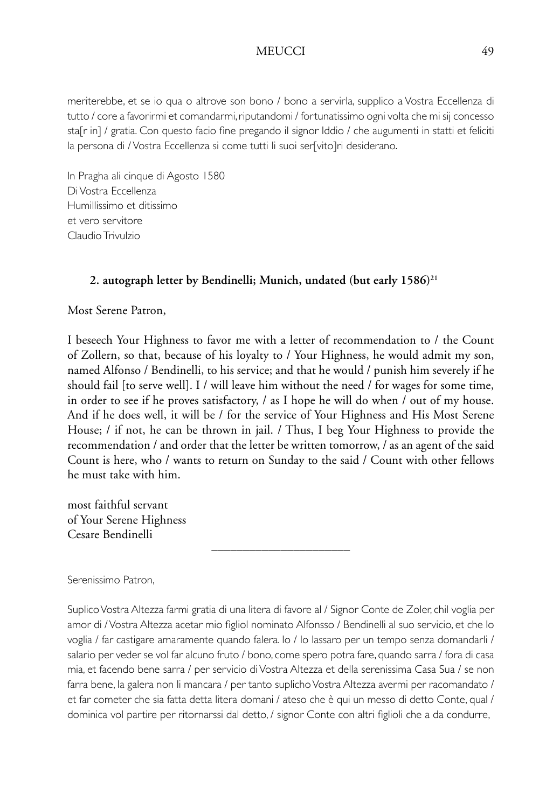meriterebbe, et se io qua o altrove son bono / bono a servirla, supplico a Vostra Eccellenza di tutto / core a favorirmi et comandarmi, riputandomi / fortunatissimo ogni volta che mi sij concesso sta[r in] / gratia. Con questo facio fine pregando il signor Iddio / che augumenti in statti et feliciti la persona di / Vostra Eccellenza si come tutti li suoi ser[vito]ri desiderano.

In Pragha ali cinque di Agosto 1580 Di Vostra Eccellenza Humillissimo et ditissimo et vero servitore Claudio Trivulzio

# 2. autograph letter by Bendinelli; Munich, undated (but early 1586)<sup>21</sup>

Most Serene Patron,

I beseech Your Highness to favor me with a letter of recommendation to / the Count of Zollern, so that, because of his loyalty to / Your Highness, he would admit my son, named Alfonso / Bendinelli, to his service; and that he would / punish him severely if he should fail [to serve well]. I / will leave him without the need / for wages for some time, in order to see if he proves satisfactory, / as I hope he will do when / out of my house. And if he does well, it will be / for the service of Your Highness and His Most Serene House; / if not, he can be thrown in jail. / Thus, I beg Your Highness to provide the recommendation / and order that the letter be written tomorrow, / as an agent of the said Count is here, who / wants to return on Sunday to the said / Count with other fellows he must take with him.

most faithful servant of Your Serene Highness Cesare Bendinelli

Serenissimo Patron,

Suplico Vostra Altezza farmi gratia di una litera di favore al / Signor Conte de Zoler, chil voglia per amor di / Vostra Altezza acetar mio figliol nominato Alfonsso / Bendinelli al suo servicio, et che lo voglia / far castigare amaramente quando falera. Io / lo lassaro per un tempo senza domandarli / salario per veder se vol far alcuno fruto / bono, come spero potra fare, quando sarra / fora di casa mia, et facendo bene sarra / per servicio di Vostra Altezza et della serenissima Casa Sua / se non farra bene, la galera non li mancara / per tanto suplicho Vostra Altezza avermi per racomandato / et far cometer che sia fatta detta litera domani / ateso che è qui un messo di detto Conte, qual / dominica vol partire per ritornarssi dal detto, / signor Conte con altri figlioli che a da condurre,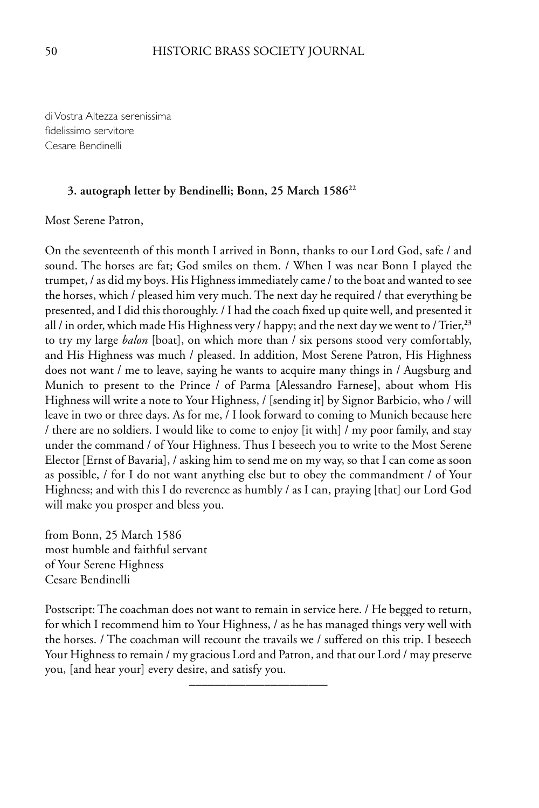di Vostra Altezza serenissima fidelissimo servitore Cesare Bendinelli

### **3. autograph letter by Bendinelli; Bonn, 25 March 158622**

Most Serene Patron,

On the seventeenth of this month I arrived in Bonn, thanks to our Lord God, safe / and sound. The horses are fat; God smiles on them. / When I was near Bonn I played the trumpet, / as did my boys. His Highness immediately came / to the boat and wanted to see the horses, which / pleased him very much. The next day he required / that everything be presented, and I did this thoroughly. / I had the coach fixed up quite well, and presented it all / in order, which made His Highness very / happy; and the next day we went to / Trier,**<sup>23</sup>** to try my large *balon* [boat], on which more than / six persons stood very comfortably, and His Highness was much / pleased. In addition, Most Serene Patron, His Highness does not want / me to leave, saying he wants to acquire many things in / Augsburg and Munich to present to the Prince / of Parma [Alessandro Farnese], about whom His Highness will write a note to Your Highness, / [sending it] by Signor Barbicio, who / will leave in two or three days. As for me, / I look forward to coming to Munich because here / there are no soldiers. I would like to come to enjoy [it with] / my poor family, and stay under the command / of Your Highness. Thus I beseech you to write to the Most Serene Elector [Ernst of Bavaria], / asking him to send me on my way, so that I can come as soon as possible, / for I do not want anything else but to obey the commandment / of Your Highness; and with this I do reverence as humbly / as I can, praying [that] our Lord God will make you prosper and bless you.

from Bonn, 25 March 1586 most humble and faithful servant of Your Serene Highness Cesare Bendinelli

Postscript: The coachman does not want to remain in service here. / He begged to return, for which I recommend him to Your Highness, / as he has managed things very well with the horses. / The coachman will recount the travails we / suffered on this trip. I beseech Your Highness to remain / my gracious Lord and Patron, and that our Lord / may preserve you, [and hear your] every desire, and satisfy you.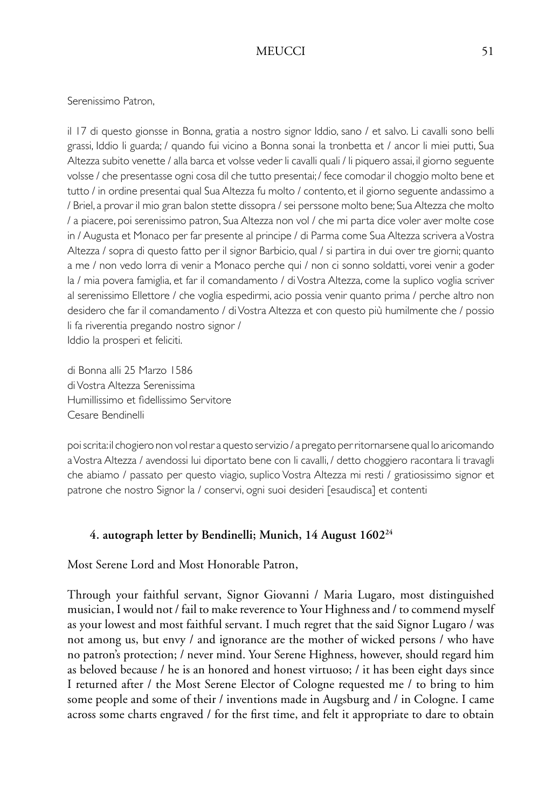### Serenissimo Patron,

il 17 di questo gionsse in Bonna, gratia a nostro signor Iddio, sano / et salvo. Li cavalli sono belli grassi, Iddio li guarda; / quando fui vicino a Bonna sonai la tronbetta et / ancor li miei putti, Sua Altezza subito venette / alla barca et volsse veder li cavalli quali / li piquero assai, il giorno seguente volsse / che presentasse ogni cosa dil che tutto presentai; / fece comodar il choggio molto bene et tutto / in ordine presentai qual Sua Altezza fu molto / contento, et il giorno seguente andassimo a / Briel, a provar il mio gran balon stette dissopra / sei perssone molto bene; Sua Altezza che molto / a piacere, poi serenissimo patron, Sua Altezza non vol / che mi parta dice voler aver molte cose in / Augusta et Monaco per far presente al principe / di Parma come Sua Altezza scrivera a Vostra Altezza / sopra di questo fatto per il signor Barbicio, qual / si partira in dui over tre giorni; quanto a me / non vedo lorra di venir a Monaco perche qui / non ci sonno soldatti, vorei venir a goder la / mia povera famiglia, et far il comandamento / di Vostra Altezza, come la suplico voglia scriver al serenissimo Ellettore / che voglia espedirmi, acio possia venir quanto prima / perche altro non desidero che far il comandamento / di Vostra Altezza et con questo più humilmente che / possio li fa riverentia pregando nostro signor / Iddio la prosperi et feliciti.

di Bonna alli 25 Marzo 1586 di Vostra Altezza Serenissima Humillissimo et fidellissimo Servitore Cesare Bendinelli

poi scrita: il chogiero non vol restar a questo servizio / a pregato per ritornarsene qual lo aricomando a Vostra Altezza / avendossi lui diportato bene con li cavalli, / detto choggiero racontara li travagli che abiamo / passato per questo viagio, suplico Vostra Altezza mi resti / gratiosissimo signor et patrone che nostro Signor la / conservi, ogni suoi desideri [esaudisca] et contenti

### **4. autograph letter by Bendinelli; Munich, 14 August 160224**

Most Serene Lord and Most Honorable Patron,

Through your faithful servant, Signor Giovanni / Maria Lugaro, most distinguished musician, I would not / fail to make reverence to Your Highness and / to commend myself as your lowest and most faithful servant. I much regret that the said Signor Lugaro / was not among us, but envy / and ignorance are the mother of wicked persons / who have no patron's protection; / never mind. Your Serene Highness, however, should regard him as beloved because / he is an honored and honest virtuoso; / it has been eight days since I returned after / the Most Serene Elector of Cologne requested me / to bring to him some people and some of their / inventions made in Augsburg and / in Cologne. I came across some charts engraved / for the first time, and felt it appropriate to dare to obtain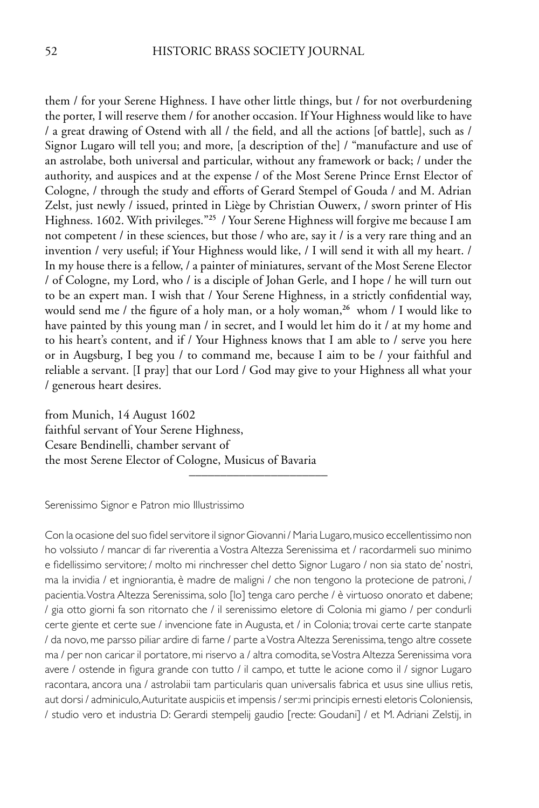them / for your Serene Highness. I have other little things, but / for not overburdening the porter, I will reserve them / for another occasion. If Your Highness would like to have / a great drawing of Ostend with all / the field, and all the actions [of battle], such as / Signor Lugaro will tell you; and more, [a description of the] / "manufacture and use of an astrolabe, both universal and particular, without any framework or back; / under the authority, and auspices and at the expense / of the Most Serene Prince Ernst Elector of Cologne, / through the study and efforts of Gerard Stempel of Gouda / and M. Adrian Zelst, just newly / issued, printed in Liège by Christian Ouwerx, / sworn printer of His Highness. 1602. With privileges."**<sup>25</sup>** / Your Serene Highness will forgive me because I am not competent / in these sciences, but those / who are, say it / is a very rare thing and an invention / very useful; if Your Highness would like, / I will send it with all my heart. / In my house there is a fellow, / a painter of miniatures, servant of the Most Serene Elector / of Cologne, my Lord, who / is a disciple of Johan Gerle, and I hope / he will turn out to be an expert man. I wish that / Your Serene Highness, in a strictly confidential way, would send me / the figure of a holy man, or a holy woman,**<sup>26</sup>** whom / I would like to have painted by this young man / in secret, and I would let him do it / at my home and to his heart's content, and if / Your Highness knows that I am able to / serve you here or in Augsburg, I beg you / to command me, because I aim to be / your faithful and reliable a servant. [I pray] that our Lord / God may give to your Highness all what your / generous heart desires.

from Munich, 14 August 1602 faithful servant of Your Serene Highness, Cesare Bendinelli, chamber servant of the most Serene Elector of Cologne, Musicus of Bavaria

Serenissimo Signor e Patron mio Illustrissimo

Con la ocasione del suo fidel servitore il signor Giovanni / Maria Lugaro, musico eccellentissimo non ho volssiuto / mancar di far riverentia a Vostra Altezza Serenissima et / racordarmeli suo minimo e fidellissimo servitore; / molto mi rinchresser chel detto Signor Lugaro / non sia stato de' nostri, ma la invidia / et ingniorantia, è madre de maligni / che non tengono la protecione de patroni, / pacientia. Vostra Altezza Serenissima, solo [lo] tenga caro perche / è virtuoso onorato et dabene; / gia otto giorni fa son ritornato che / il serenissimo eletore di Colonia mi giamo / per condurli certe giente et certe sue / invencione fate in Augusta, et / in Colonia; trovai certe carte stanpate / da novo, me parsso piliar ardire di farne / parte a Vostra Altezza Serenissima, tengo altre cossete ma / per non caricar il portatore, mi riservo a / altra comodita, se Vostra Altezza Serenissima vora avere / ostende in figura grande con tutto / il campo, et tutte le acione como il / signor Lugaro racontara, ancora una / astrolabii tam particularis quan universalis fabrica et usus sine ullius retis, aut dorsi / adminiculo, Auturitate auspiciis et impensis / ser:mi principis ernesti eletoris Coloniensis, / studio vero et industria D: Gerardi stempelij gaudio [recte: Goudani] / et M. Adriani Zelstij, in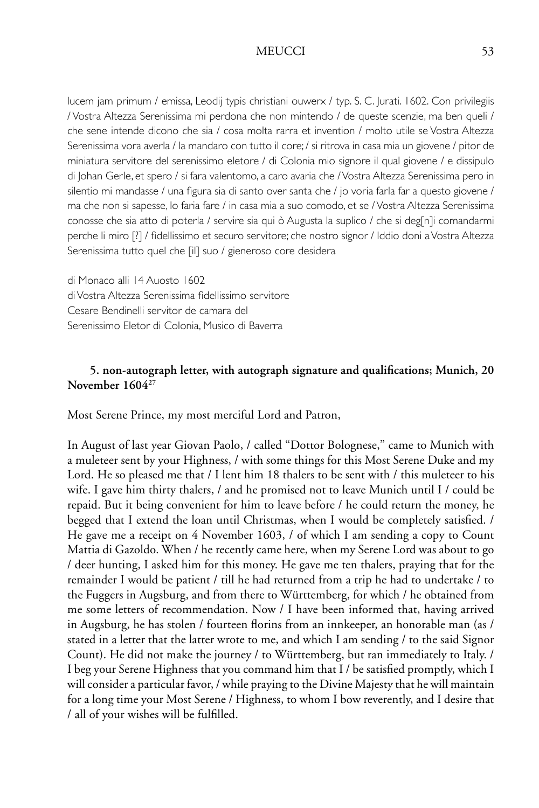lucem jam primum / emissa, Leodij typis christiani ouwerx / typ. S. C. Jurati. 1602. Con privilegiis / Vostra Altezza Serenissima mi perdona che non mintendo / de queste scenzie, ma ben queli / che sene intende dicono che sia / cosa molta rarra et invention / molto utile se Vostra Altezza Serenissima vora averla / la mandaro con tutto il core; / si ritrova in casa mia un giovene / pitor de miniatura servitore del serenissimo eletore / di Colonia mio signore il qual giovene / e dissipulo di Johan Gerle, et spero / si fara valentomo, a caro avaria che / Vostra Altezza Serenissima pero in silentio mi mandasse / una figura sia di santo over santa che / jo voria farla far a questo giovene / ma che non si sapesse, lo faria fare / in casa mia a suo comodo, et se / Vostra Altezza Serenissima conosse che sia atto di poterla / servire sia qui ò Augusta la suplico / che si deg[n]i comandarmi perche li miro [?] / fidellissimo et securo servitore; che nostro signor / Iddio doni a Vostra Altezza Serenissima tutto quel che [il] suo / gieneroso core desidera

di Monaco alli 14 Auosto 1602 di Vostra Altezza Serenissima fidellissimo servitore Cesare Bendinelli servitor de camara del Serenissimo Eletor di Colonia, Musico di Baverra

# **5. non-autograph letter, with autograph signature and qualifications; Munich, 20 November 160427**

Most Serene Prince, my most merciful Lord and Patron,

In August of last year Giovan Paolo, / called "Dottor Bolognese," came to Munich with a muleteer sent by your Highness, / with some things for this Most Serene Duke and my Lord. He so pleased me that / I lent him 18 thalers to be sent with / this muleteer to his wife. I gave him thirty thalers, / and he promised not to leave Munich until I / could be repaid. But it being convenient for him to leave before / he could return the money, he begged that I extend the loan until Christmas, when I would be completely satisfied. / He gave me a receipt on 4 November 1603, / of which I am sending a copy to Count Mattia di Gazoldo. When / he recently came here, when my Serene Lord was about to go / deer hunting, I asked him for this money. He gave me ten thalers, praying that for the remainder I would be patient / till he had returned from a trip he had to undertake / to the Fuggers in Augsburg, and from there to Württemberg, for which / he obtained from me some letters of recommendation. Now / I have been informed that, having arrived in Augsburg, he has stolen / fourteen florins from an innkeeper, an honorable man (as / stated in a letter that the latter wrote to me, and which I am sending / to the said Signor Count). He did not make the journey / to Württemberg, but ran immediately to Italy. / I beg your Serene Highness that you command him that I / be satisfied promptly, which I will consider a particular favor, / while praying to the Divine Majesty that he will maintain for a long time your Most Serene / Highness, to whom I bow reverently, and I desire that / all of your wishes will be fulfilled.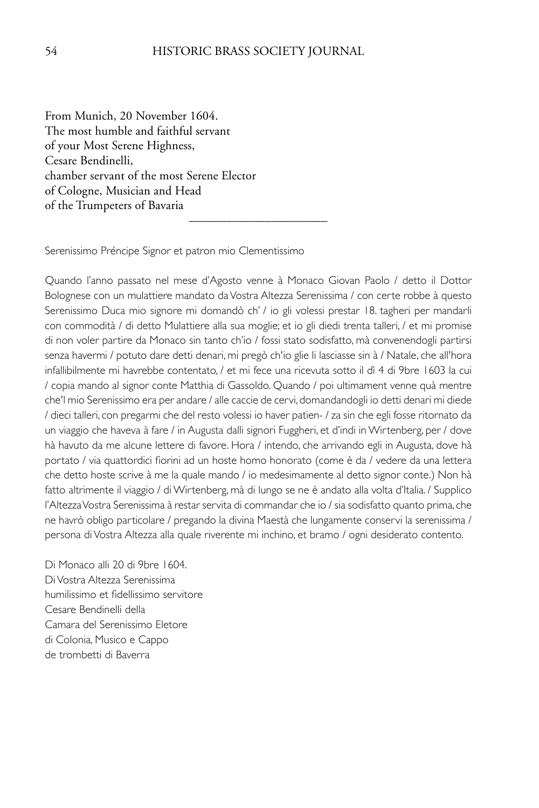––––––––––––––––––––––

From Munich, 20 November 1604. The most humble and faithful servant of your Most Serene Highness, Cesare Bendinelli, chamber servant of the most Serene Elector of Cologne, Musician and Head of the Trumpeters of Bavaria

Serenissimo Préncipe Signor et patron mio Clementissimo

Quando l'anno passato nel mese d'Agosto venne à Monaco Giovan Paolo / detto il Dottor Bolognese con un mulattiere mandato da Vostra Altezza Serenissima / con certe robbe à questo Serenissimo Duca mio signore mi domandò ch' / io gli volessi prestar 18. tagheri per mandarli con commodità / di detto Mulattiere alla sua moglie; et io gli diedi trenta talleri, / et mi promise di non voler partire da Monaco sin tanto ch'io / fossi stato sodisfatto, mà convenendogli partirsi senza havermi / potuto dare detti denari, mi pregò ch'io glie li lasciasse sin à / Natale, che all'hora infallibilmente mi havrebbe contentato, / et mi fece una ricevuta sotto il dì 4 di 9bre 1603 la cui / copia mando al signor conte Matthia di Gassoldo. Quando / poi ultimament venne quà mentre che'l mio Serenissimo era per andare / alle caccie de cervi, domandandogli io detti denari mi diede / dieci talleri, con pregarmi che del resto volessi io haver patien- / za sin che egli fosse ritornato da un viaggio che haveva à fare / in Augusta dalli signori Fuggheri, et d'indi in Wirtenberg, per / dove hà havuto da me alcune lettere di favore. Hora / intendo, che arrivando egli in Augusta, dove hà portato / via quattordici fiorini ad un hoste homo honorato (come è da / vedere da una lettera che detto hoste scrive à me la quale mando / io medesimamente al detto signor conte.) Non hà fatto altrimente il viaggio / di Wirtenberg, mà di lungo se ne è andato alla volta d'Italia. / Supplico l'Altezza Vostra Serenissima à restar servita di commandar che io / sia sodisfatto quanto prima, che ne havrò obligo particolare / pregando la divina Maestà che lungamente conservi la serenissima / persona di Vostra Altezza alla quale riverente mi inchino, et bramo / ogni desiderato contento.

Di Monaco alli 20 di 9bre 1604. Di Vostra Altezza Serenissima humilissimo et fidellissimo servitore Cesare Bendinelli della Camara del Serenissimo Eletore di Colonia, Musico e Cappo de trombetti di Baverra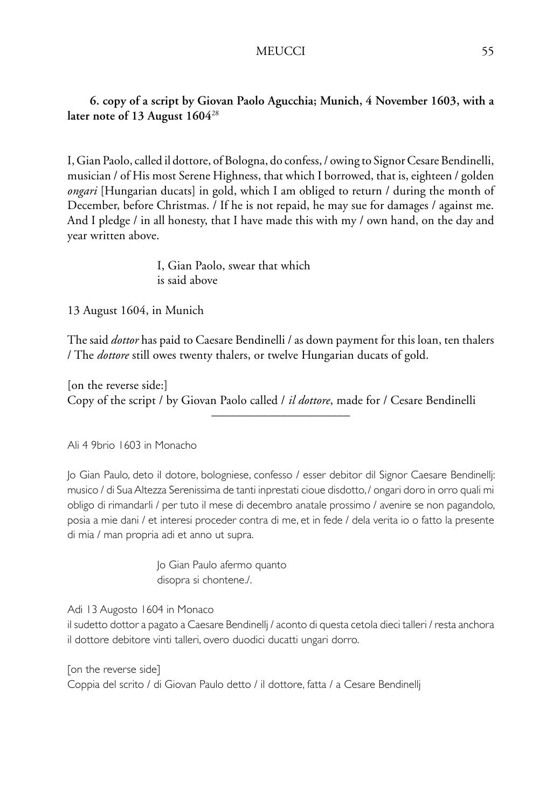# **6. copy of a script by Giovan Paolo Agucchia; Munich, 4 November 1603, with a later note of 13 August 1604**<sup>28</sup>

I, Gian Paolo, called il dottore, of Bologna, do confess, / owing to Signor Cesare Bendinelli, musician / of His most Serene Highness, that which I borrowed, that is, eighteen / golden *ongari* [Hungarian ducats] in gold, which I am obliged to return / during the month of December, before Christmas. / If he is not repaid, he may sue for damages / against me. And I pledge / in all honesty, that I have made this with my / own hand, on the day and year written above.

> I, Gian Paolo, swear that which is said above

13 August 1604, in Munich

The said *dottor* has paid to Caesare Bendinelli / as down payment for this loan, ten thalers / The *dottore* still owes twenty thalers, or twelve Hungarian ducats of gold.

[on the reverse side:] Copy of the script / by Giovan Paolo called / *il dottore*, made for / Cesare Bendinelli

––––––––––––––––––––––

Ali 4 9brio 1603 in Monacho

Jo Gian Paulo, deto il dotore, bologniese, confesso / esser debitor dil Signor Caesare Bendinellj: musico / di Sua Altezza Serenissima de tanti inprestati cioue disdotto, / ongari doro in orro quali mi obligo di rimandarli / per tuto il mese di decembro anatale prossimo / avenire se non pagandolo, posia a mie dani / et interesi proceder contra di me, et in fede / dela verita io o fatto la presente di mia / man propria adi et anno ut supra.

> Jo Gian Paulo afermo quanto disopra si chontene./.

Adi 13 Augosto 1604 in Monaco

il sudetto dottor a pagato a Caesare Bendinellj / aconto di questa cetola dieci talleri / resta anchora il dottore debitore vinti talleri, overo duodici ducatti ungari dorro.

[on the reverse side]

Coppia del scrito / di Giovan Paulo detto / il dottore, fatta / a Cesare Bendinellj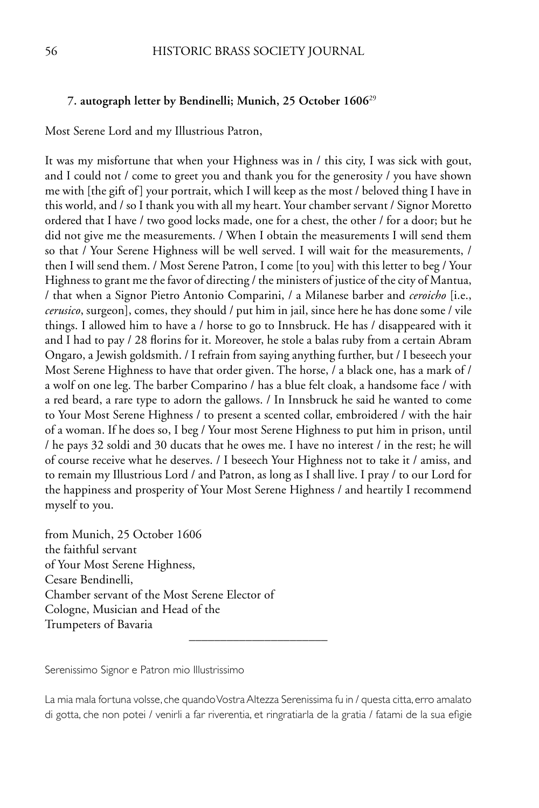### **7. autograph letter by Bendinelli; Munich, 25 October 1606**<sup>29</sup>

Most Serene Lord and my Illustrious Patron,

It was my misfortune that when your Highness was in / this city, I was sick with gout, and I could not / come to greet you and thank you for the generosity / you have shown me with [the gift of] your portrait, which I will keep as the most / beloved thing I have in this world, and / so I thank you with all my heart. Your chamber servant / Signor Moretto ordered that I have / two good locks made, one for a chest, the other / for a door; but he did not give me the measurements. / When I obtain the measurements I will send them so that / Your Serene Highness will be well served. I will wait for the measurements, / then I will send them. / Most Serene Patron, I come [to you] with this letter to beg / Your Highness to grant me the favor of directing / the ministers of justice of the city of Mantua, / that when a Signor Pietro Antonio Comparini, / a Milanese barber and *ceroicho* [i.e., *cerusico*, surgeon], comes, they should / put him in jail, since here he has done some / vile things. I allowed him to have a / horse to go to Innsbruck. He has / disappeared with it and I had to pay / 28 florins for it. Moreover, he stole a balas ruby from a certain Abram Ongaro, a Jewish goldsmith. / I refrain from saying anything further, but / I beseech your Most Serene Highness to have that order given. The horse, / a black one, has a mark of / a wolf on one leg. The barber Comparino / has a blue felt cloak, a handsome face / with a red beard, a rare type to adorn the gallows. / In Innsbruck he said he wanted to come to Your Most Serene Highness / to present a scented collar, embroidered / with the hair of a woman. If he does so, I beg / Your most Serene Highness to put him in prison, until / he pays 32 soldi and 30 ducats that he owes me. I have no interest / in the rest; he will of course receive what he deserves. / I beseech Your Highness not to take it / amiss, and to remain my Illustrious Lord / and Patron, as long as I shall live. I pray / to our Lord for the happiness and prosperity of Your Most Serene Highness / and heartily I recommend myself to you.

from Munich, 25 October 1606 the faithful servant of Your Most Serene Highness, Cesare Bendinelli, Chamber servant of the Most Serene Elector of Cologne, Musician and Head of the Trumpeters of Bavaria

Serenissimo Signor e Patron mio Illustrissimo

La mia mala fortuna volsse, che quando Vostra Altezza Serenissima fu in / questa citta, erro amalato di gotta, che non potei / venirli a far riverentia, et ringratiarla de la gratia / fatami de la sua efigie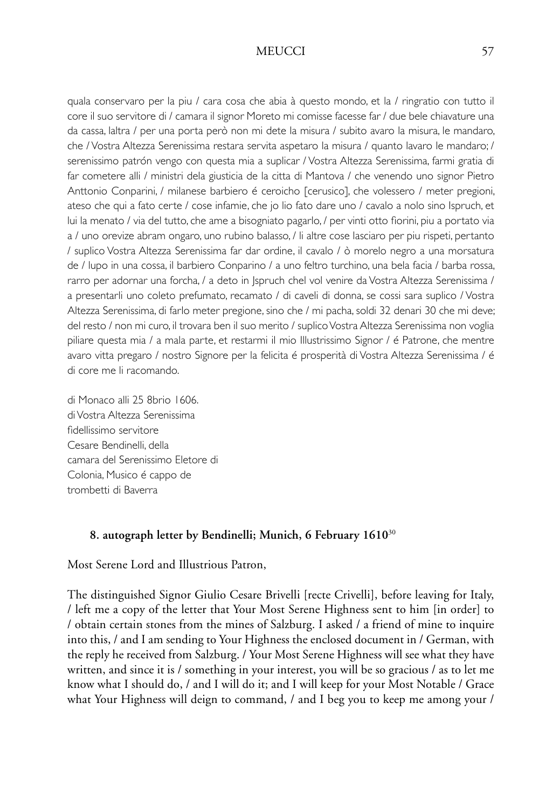quala conservaro per la piu / cara cosa che abia à questo mondo, et la / ringratio con tutto il core il suo servitore di / camara il signor Moreto mi comisse facesse far / due bele chiavature una da cassa, laltra / per una porta però non mi dete la misura / subito avaro la misura, le mandaro, che / Vostra Altezza Serenissima restara servita aspetaro la misura / quanto lavaro le mandaro; / serenissimo patrón vengo con questa mia a suplicar / Vostra Altezza Serenissima, farmi gratia di far cometere alli / ministri dela giusticia de la citta di Mantova / che venendo uno signor Pietro Anttonio Conparini, / milanese barbiero é ceroicho [cerusico], che volessero / meter pregioni, ateso che qui a fato certe / cose infamie, che jo lio fato dare uno / cavalo a nolo sino Ispruch, et lui la menato / via del tutto, che ame a bisogniato pagarlo, / per vinti otto fiorini, piu a portato via a / uno orevize abram ongaro, uno rubino balasso, / li altre cose lasciaro per piu rispeti, pertanto / suplico Vostra Altezza Serenissima far dar ordine, il cavalo / ò morelo negro a una morsatura de / lupo in una cossa, il barbiero Conparino / a uno feltro turchino, una bela facia / barba rossa, rarro per adornar una forcha, / a deto in Jspruch chel vol venire da Vostra Altezza Serenissima / a presentarli uno coleto prefumato, recamato / di caveli di donna, se cossi sara suplico / Vostra Altezza Serenissima, di farlo meter pregione, sino che / mi pacha, soldi 32 denari 30 che mi deve; del resto / non mi curo, il trovara ben il suo merito / suplico Vostra Altezza Serenissima non voglia piliare questa mia / a mala parte, et restarmi il mio Illustrissimo Signor / é Patrone, che mentre avaro vitta pregaro / nostro Signore per la felicita é prosperità di Vostra Altezza Serenissima / é di core me li racomando.

di Monaco alli 25 8brio 1606. di Vostra Altezza Serenissima fidellissimo servitore Cesare Bendinelli, della camara del Serenissimo Eletore di Colonia, Musico é cappo de trombetti di Baverra

### **8. autograph letter by Bendinelli; Munich, 6 February 1610**<sup>30</sup>

Most Serene Lord and Illustrious Patron,

The distinguished Signor Giulio Cesare Brivelli [recte Crivelli], before leaving for Italy, / left me a copy of the letter that Your Most Serene Highness sent to him [in order] to / obtain certain stones from the mines of Salzburg. I asked / a friend of mine to inquire into this, / and I am sending to Your Highness the enclosed document in / German, with the reply he received from Salzburg. / Your Most Serene Highness will see what they have written, and since it is / something in your interest, you will be so gracious / as to let me know what I should do, / and I will do it; and I will keep for your Most Notable / Grace what Your Highness will deign to command, / and I beg you to keep me among your /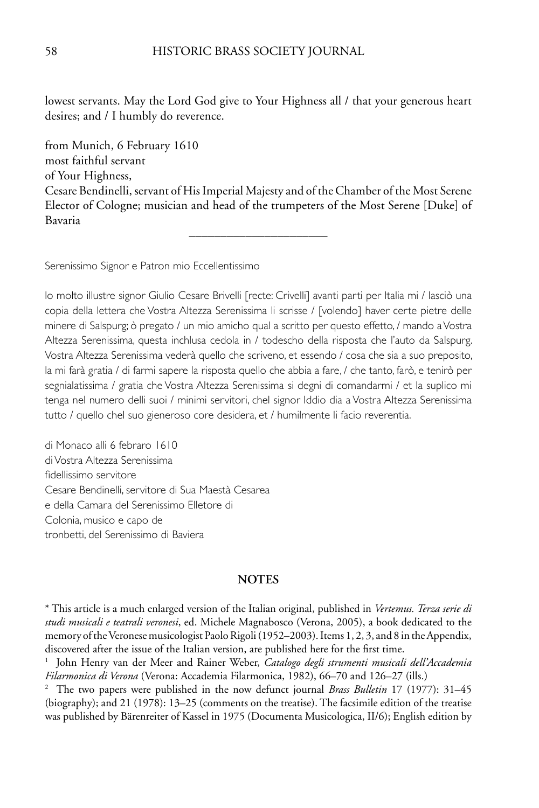lowest servants. May the Lord God give to Your Highness all / that your generous heart desires; and / I humbly do reverence.

from Munich, 6 February 1610 most faithful servant of Your Highness, Cesare Bendinelli, servant of His Imperial Majesty and of the Chamber of the Most Serene Elector of Cologne; musician and head of the trumpeters of the Most Serene [Duke] of Bavaria

––––––––––––––––––––––

Serenissimo Signor e Patron mio Eccellentissimo

lo molto illustre signor Giulio Cesare Brivelli [recte: Crivelli] avanti parti per Italia mi / lasciò una copia della lettera che Vostra Altezza Serenissima li scrisse / [volendo] haver certe pietre delle minere di Salspurg; ò pregato / un mio amicho qual a scritto per questo effetto, / mando a Vostra Altezza Serenissima, questa inchlusa cedola in / todescho della risposta che l'auto da Salspurg. Vostra Altezza Serenissima vederà quello che scriveno, et essendo / cosa che sia a suo preposito, la mi farà gratia / di farmi sapere la risposta quello che abbia a fare, / che tanto, farò, e tenirò per segnialatissima / gratia che Vostra Altezza Serenissima si degni di comandarmi / et la suplico mi tenga nel numero delli suoi / minimi servitori, chel signor Iddio dia a Vostra Altezza Serenissima tutto / quello chel suo gieneroso core desidera, et / humilmente li facio reverentia.

di Monaco alli 6 febraro 1610 di Vostra Altezza Serenissima fidellissimo servitore Cesare Bendinelli, servitore di Sua Maestà Cesarea e della Camara del Serenissimo Elletore di Colonia, musico e capo de tronbetti, del Serenissimo di Baviera

### **NOTES**

\* This article is a much enlarged version of the Italian original, published in *Vertemus. Terza serie di studi musicali e teatrali veronesi*, ed. Michele Magnabosco (Verona, 2005), a book dedicated to the memory of the Veronese musicologist Paolo Rigoli (1952–2003). Items 1, 2, 3, and 8 in the Appendix, discovered after the issue of the Italian version, are published here for the first time.

1 John Henry van der Meer and Rainer Weber, *Catalogo degli strumenti musicali dell'Accademia Filarmonica di Verona* (Verona: Accademia Filarmonica, 1982), 66–70 and 126–27 (ills.)

2 The two papers were published in the now defunct journal *Brass Bulletin* 17 (1977): 31–45 (biography); and 21 (1978): 13–25 (comments on the treatise). The facsimile edition of the treatise was published by Bärenreiter of Kassel in 1975 (Documenta Musicologica, II/6); English edition by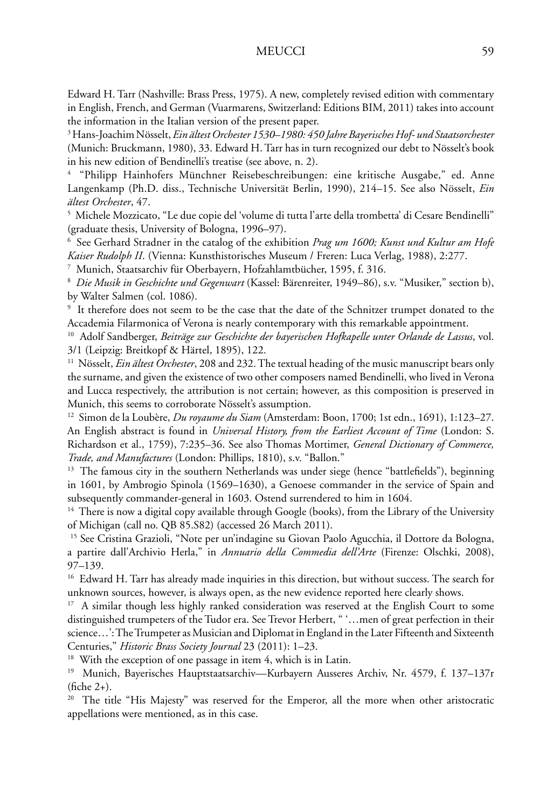Edward H. Tarr (Nashville: Brass Press, 1975). A new, completely revised edition with commentary in English, French, and German (Vuarmarens, Switzerland: Editions BIM, 2011) takes into account the information in the Italian version of the present paper.

3 Hans-Joachim Nösselt, *Ein ältest Orchester 1530–1980: 450 Jahre Bayerisches Hof- und Staatsorchester* (Munich: Bruckmann, 1980), 33. Edward H. Tarr has in turn recognized our debt to Nösselt's book in his new edition of Bendinelli's treatise (see above, n. 2).

4 "Philipp Hainhofers Münchner Reisebeschreibungen: eine kritische Ausgabe," ed. Anne Langenkamp (Ph.D. diss., Technische Universität Berlin, 1990), 214–15. See also Nösselt, *Ein ältest Orchester*, 47.

 $^5\,$  Michele Mozzicato, "Le due copie del 'volume di tutta l'arte della trombetta' di Cesare Bendinelli" (graduate thesis, University of Bologna, 1996–97).

6 See Gerhard Stradner in the catalog of the exhibition *Prag um 1600; Kunst und Kultur am Hofe Kaiser Rudolph II*. (Vienna: Kunsthistorisches Museum / Freren: Luca Verlag, 1988), 2:277.

7 Munich, Staatsarchiv für Oberbayern, Hofzahlamtbücher, 1595, f. 316.

8 *Die Musik in Geschichte und Gegenwart* (Kassel: Bärenreiter, 1949–86), s.v. "Musiker," section b), by Walter Salmen (col. 1086).

9 It therefore does not seem to be the case that the date of the Schnitzer trumpet donated to the Accademia Filarmonica of Verona is nearly contemporary with this remarkable appointment.

10 Adolf Sandberger, *Beiträge zur Geschichte der bayerischen Hofkapelle unter Orlande de Lassus*, vol. 3/1 (Leipzig: Breitkopf & Härtel, 1895), 122.

11 Nösselt, *Ein ältest Orchester*, 208 and 232. The textual heading of the music manuscript bears only the surname, and given the existence of two other composers named Bendinelli, who lived in Verona and Lucca respectively, the attribution is not certain; however, as this composition is preserved in Munich, this seems to corroborate Nösselt's assumption.

12 Simon de la Loubère, *Du royaume du Siam* (Amsterdam: Boon, 1700; 1st edn., 1691), 1:123–27. An English abstract is found in *Universal History, from the Earliest Account of Time* (London: S. Richardson et al., 1759), 7:235–36. See also Thomas Mortimer, *General Dictionary of Commerce, Trade, and Manufactures* (London: Phillips, 1810), s.v. "Ballon."

<sup>13</sup> The famous city in the southern Netherlands was under siege (hence "battlefields"), beginning in 1601, by Ambrogio Spinola (1569–1630), a Genoese commander in the service of Spain and subsequently commander-general in 1603. Ostend surrendered to him in 1604.

<sup>14</sup> There is now a digital copy available through Google (books), from the Library of the University of Michigan (call no. QB 85.S82) (accessed 26 March 2011).

<sup>15</sup> See Cristina Grazioli, "Note per un'indagine su Giovan Paolo Agucchia, il Dottore da Bologna, a partire dall'Archivio Herla," in *Annuario della Commedia dell'Arte* (Firenze: Olschki, 2008), 97–139.

<sup>16</sup> Edward H. Tarr has already made inquiries in this direction, but without success. The search for unknown sources, however, is always open, as the new evidence reported here clearly shows.

<sup>17</sup> A similar though less highly ranked consideration was reserved at the English Court to some distinguished trumpeters of the Tudor era. See Trevor Herbert, " '…men of great perfection in their science…': The Trumpeter as Musician and Diplomat in England in the Later Fifteenth and Sixteenth Centuries," *Historic Brass Society Journal* 23 (2011): 1–23.

<sup>18</sup> With the exception of one passage in item 4, which is in Latin.

19 Munich, Bayerisches Hauptstaatsarchiv—Kurbayern Ausseres Archiv, Nr. 4579, f. 137–137r (fiche 2+).

<sup>20</sup> The title "His Majesty" was reserved for the Emperor, all the more when other aristocratic appellations were mentioned, as in this case.